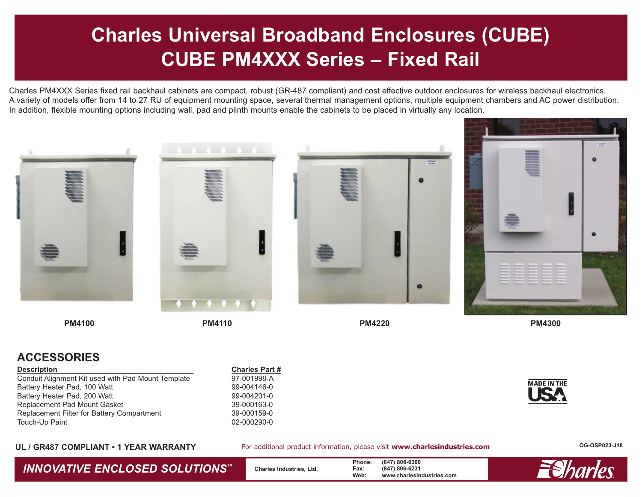# **Charles Universal Broadband Enclosures (CUBE) CUBE PM4XXX Series – Fixed Rail**

Charles PM4XXX Series fixed rail backhaul cabinets are compact, robust (GR-487 compliant) and cost effective outdoor enclosures for wireless backhaul electronics. A variety of models offer from 14 to 27 RU of equipment mounting space, several thermal management options, multiple equipment chambers and AC power distribution. In addition, flexible mounting options including wall, pad and plinth mounts enable the cabinets to be placed in virtually any location.









**PM4100**

**PM4110**

**PM4220**

**PM4300**

**MADE IN THE** 

### **ACCESSORIES**

#### **Description Charles Part #**

Conduit Alignment Kit used with Pad Mount Template 97-001998-A Battery Heater Pad, 100 Watt 99-004146-0 Battery Heater Pad, 200 Watt 699-004201-0 Replacement Pad Mount Gasket 39-000163-0 Replacement Filter for Battery Compartment 39-000159-0 Touch-Up Paint 20000290-0

### **UL / GR487 COMPLIANT • 1 YEAR WARRANTY**

For additional product information, please visit **www.charlesindustries.com**

**OG-OSP023-J18**

**INNOVATIVE ENCLOSED SOLUTIONS™** Charles Industries, Ltd. **Phone:** (847) 806-6300<br>
Web: www.charlesin

**Web: www.charlesindustries.com**